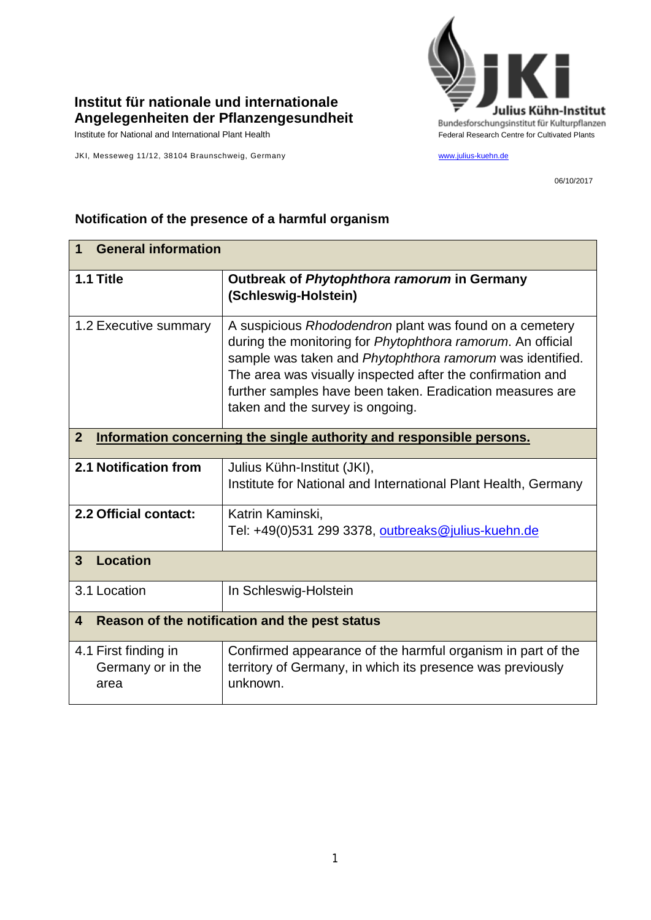

## **Institut für nationale und internationale Angelegenheiten der Pflanzengesundheit**

JKI, Messeweg 11/12, 38104 Braunschweig, Germany [www.julius-kuehn.de](http://www.julius-kuehn.de/)

06/10/2017

## **1 General information 1.1 Title Outbreak of** *Phytophthora ramorum* **in Germany (Schleswig-Holstein)** 1.2 Executive summary A suspicious *Rhododendron* plant was found on a cemetery during the monitoring for *Phytophthora ramorum*. An official sample was taken and *Phytophthora ramorum* was identified. The area was visually inspected after the confirmation and further samples have been taken. Eradication measures are taken and the survey is ongoing. **2 Information concerning the single authority and responsible persons. 2.1 Notification from** Julius Kühn-Institut (JKI), Institute for National and International Plant Health, Germany **2.2 Official contact:** | Katrin Kaminski, Tel: +49(0)531 299 3378, [outbreaks@julius-kuehn.de](mailto:outbreaks@julius-kuehn.de) **3 Location**  3.1 Location | In Schleswig-Holstein **4 Reason of the notification and the pest status** 4.1 First finding in Germany or in the area Confirmed appearance of the harmful organism in part of the territory of Germany, in which its presence was previously unknown.

## **Notification of the presence of a harmful organism**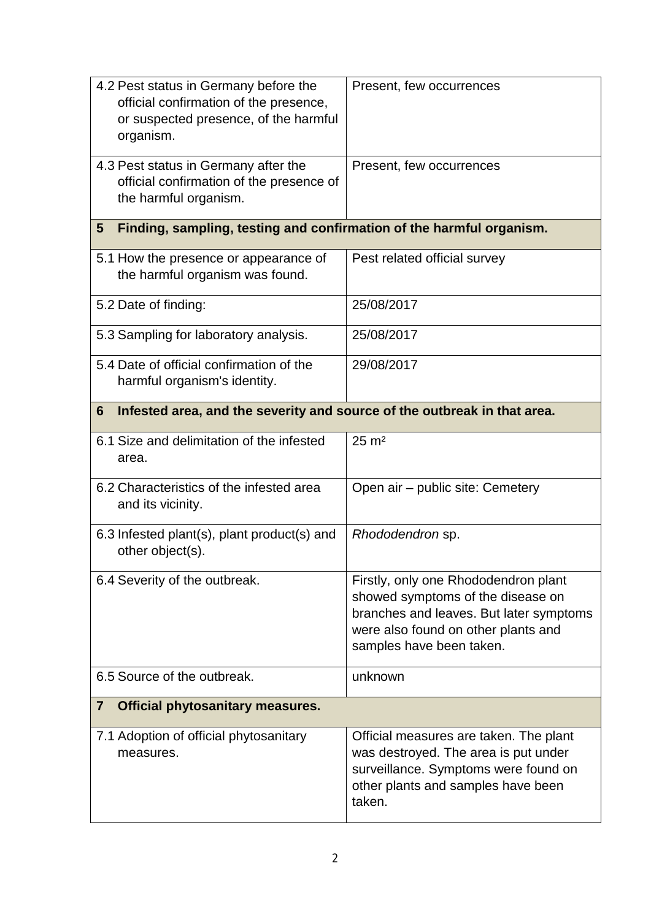| 4.2 Pest status in Germany before the<br>official confirmation of the presence,<br>or suspected presence, of the harmful<br>organism. | Present, few occurrences                                                                                                                                                                |
|---------------------------------------------------------------------------------------------------------------------------------------|-----------------------------------------------------------------------------------------------------------------------------------------------------------------------------------------|
| 4.3 Pest status in Germany after the<br>official confirmation of the presence of<br>the harmful organism.                             | Present, few occurrences                                                                                                                                                                |
| Finding, sampling, testing and confirmation of the harmful organism.<br>$5\phantom{.0}$                                               |                                                                                                                                                                                         |
| 5.1 How the presence or appearance of<br>the harmful organism was found.                                                              | Pest related official survey                                                                                                                                                            |
| 5.2 Date of finding:                                                                                                                  | 25/08/2017                                                                                                                                                                              |
| 5.3 Sampling for laboratory analysis.                                                                                                 | 25/08/2017                                                                                                                                                                              |
| 5.4 Date of official confirmation of the<br>harmful organism's identity.                                                              | 29/08/2017                                                                                                                                                                              |
| Infested area, and the severity and source of the outbreak in that area.<br>6                                                         |                                                                                                                                                                                         |
| 6.1 Size and delimitation of the infested<br>area.                                                                                    | $25 \text{ m}^2$                                                                                                                                                                        |
| 6.2 Characteristics of the infested area<br>and its vicinity.                                                                         | Open air - public site: Cemetery                                                                                                                                                        |
| 6.3 Infested plant(s), plant product(s) and<br>other object(s).                                                                       | Rhododendron sp.                                                                                                                                                                        |
| 6.4 Severity of the outbreak.                                                                                                         | Firstly, only one Rhododendron plant<br>showed symptoms of the disease on<br>branches and leaves. But later symptoms<br>were also found on other plants and<br>samples have been taken. |
| 6.5 Source of the outbreak.                                                                                                           | unknown                                                                                                                                                                                 |
| <b>Official phytosanitary measures.</b><br>$\overline{7}$                                                                             |                                                                                                                                                                                         |
| 7.1 Adoption of official phytosanitary<br>measures.                                                                                   | Official measures are taken. The plant<br>was destroyed. The area is put under<br>surveillance. Symptoms were found on<br>other plants and samples have been<br>taken.                  |